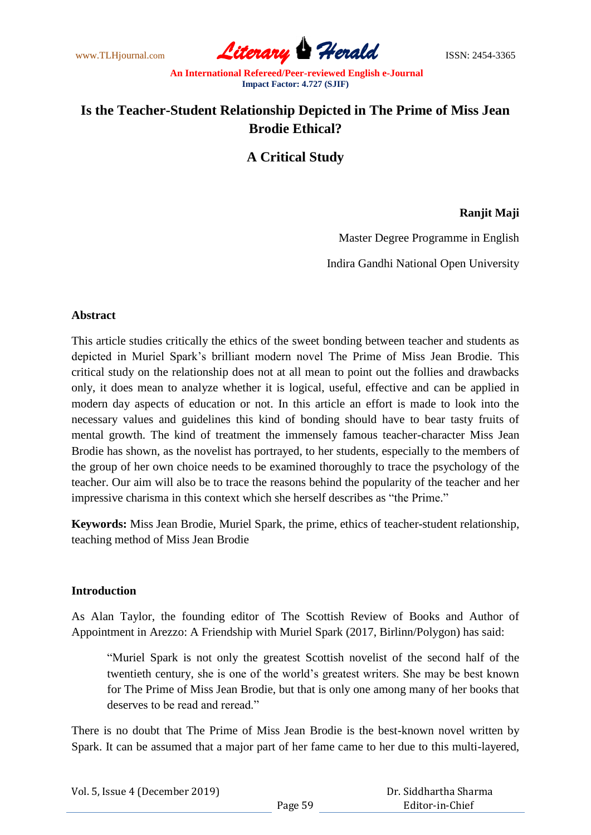www.TLHjournal.com **Literary Herald** ISSN: 2454-3365

# **Is the Teacher-Student Relationship Depicted in The Prime of Miss Jean Brodie Ethical?**

## **A Critical Study**

### **Ranjit Maji**

Master Degree Programme in English

Indira Gandhi National Open University

#### **Abstract**

This article studies critically the ethics of the sweet bonding between teacher and students as depicted in Muriel Spark"s brilliant modern novel The Prime of Miss Jean Brodie. This critical study on the relationship does not at all mean to point out the follies and drawbacks only, it does mean to analyze whether it is logical, useful, effective and can be applied in modern day aspects of education or not. In this article an effort is made to look into the necessary values and guidelines this kind of bonding should have to bear tasty fruits of mental growth. The kind of treatment the immensely famous teacher-character Miss Jean Brodie has shown, as the novelist has portrayed, to her students, especially to the members of the group of her own choice needs to be examined thoroughly to trace the psychology of the teacher. Our aim will also be to trace the reasons behind the popularity of the teacher and her impressive charisma in this context which she herself describes as "the Prime."

**Keywords:** Miss Jean Brodie, Muriel Spark, the prime, ethics of teacher-student relationship, teaching method of Miss Jean Brodie

### **Introduction**

As Alan Taylor, the founding editor of The Scottish Review of Books and Author of Appointment in Arezzo: A Friendship with Muriel Spark (2017, Birlinn/Polygon) has said:

"Muriel Spark is not only the greatest Scottish novelist of the second half of the twentieth century, she is one of the world"s greatest writers. She may be best known for The Prime of Miss Jean Brodie, but that is only one among many of her books that deserves to be read and reread."

There is no doubt that The Prime of Miss Jean Brodie is the best-known novel written by Spark. It can be assumed that a major part of her fame came to her due to this multi-layered,

| Vol. 5, Issue 4 (December 2019) |         | Dr. Siddhartha Sharma |
|---------------------------------|---------|-----------------------|
|                                 | Page 59 | Editor-in-Chief       |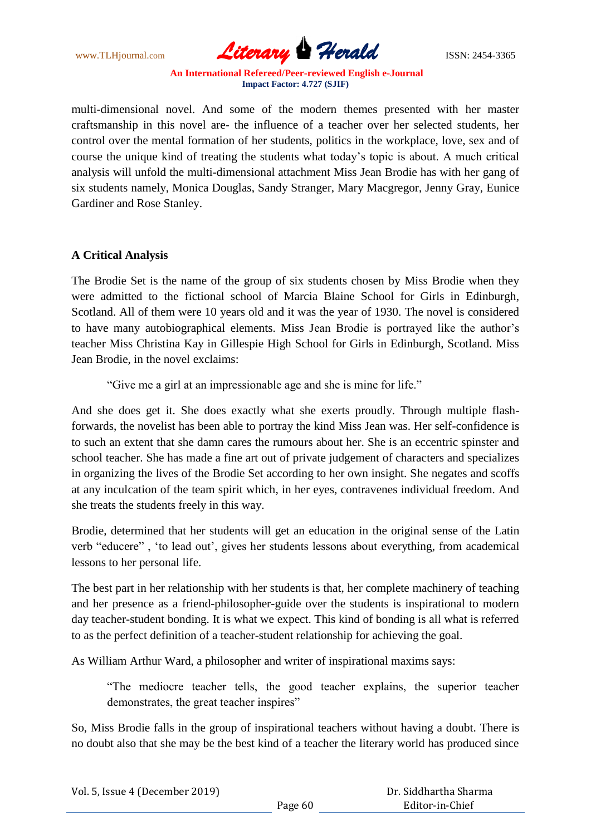www.TLHjournal.com **Literary Herald** ISSN: 2454-3365

multi-dimensional novel. And some of the modern themes presented with her master craftsmanship in this novel are- the influence of a teacher over her selected students, her control over the mental formation of her students, politics in the workplace, love, sex and of course the unique kind of treating the students what today"s topic is about. A much critical analysis will unfold the multi-dimensional attachment Miss Jean Brodie has with her gang of six students namely, Monica Douglas, Sandy Stranger, Mary Macgregor, Jenny Gray, Eunice Gardiner and Rose Stanley.

### **A Critical Analysis**

The Brodie Set is the name of the group of six students chosen by Miss Brodie when they were admitted to the fictional school of Marcia Blaine School for Girls in Edinburgh, Scotland. All of them were 10 years old and it was the year of 1930. The novel is considered to have many autobiographical elements. Miss Jean Brodie is portrayed like the author"s teacher Miss Christina Kay in Gillespie High School for Girls in Edinburgh, Scotland. Miss Jean Brodie, in the novel exclaims:

"Give me a girl at an impressionable age and she is mine for life."

And she does get it. She does exactly what she exerts proudly. Through multiple flashforwards, the novelist has been able to portray the kind Miss Jean was. Her self-confidence is to such an extent that she damn cares the rumours about her. She is an eccentric spinster and school teacher. She has made a fine art out of private judgement of characters and specializes in organizing the lives of the Brodie Set according to her own insight. She negates and scoffs at any inculcation of the team spirit which, in her eyes, contravenes individual freedom. And she treats the students freely in this way.

Brodie, determined that her students will get an education in the original sense of the Latin verb "educere", 'to lead out', gives her students lessons about everything, from academical lessons to her personal life.

The best part in her relationship with her students is that, her complete machinery of teaching and her presence as a friend-philosopher-guide over the students is inspirational to modern day teacher-student bonding. It is what we expect. This kind of bonding is all what is referred to as the perfect definition of a teacher-student relationship for achieving the goal.

As William Arthur Ward, a philosopher and writer of inspirational maxims says:

"The mediocre teacher tells, the good teacher explains, the superior teacher demonstrates, the great teacher inspires"

So, Miss Brodie falls in the group of inspirational teachers without having a doubt. There is no doubt also that she may be the best kind of a teacher the literary world has produced since

| Vol. 5, Issue 4 (December 2019) |         | Dr. Siddhartha Sharma |
|---------------------------------|---------|-----------------------|
|                                 | Page 60 | Editor-in-Chief       |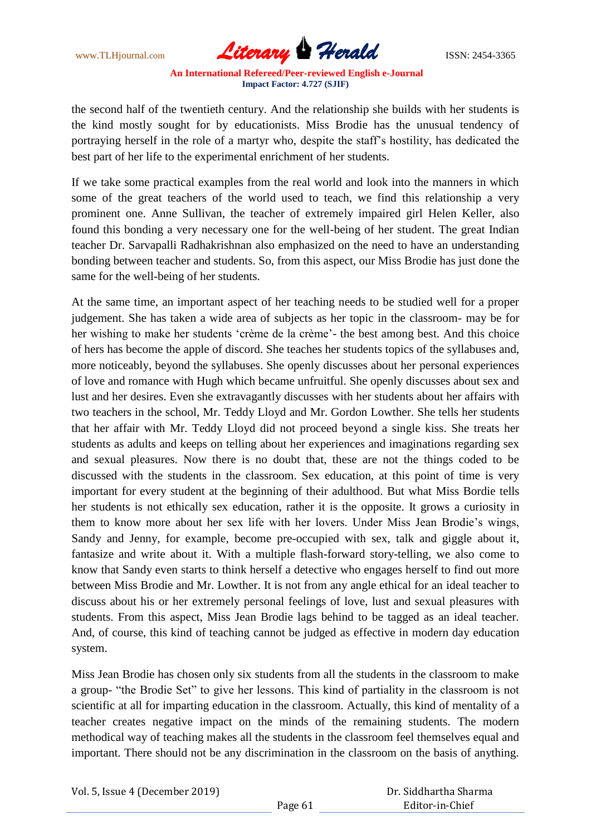www.TLHjournal.com **Literary Herald ISSN: 2454-3365** 

the second half of the twentieth century. And the relationship she builds with her students is the kind mostly sought for by educationists. Miss Brodie has the unusual tendency of portraying herself in the role of a martyr who, despite the staff"s hostility, has dedicated the best part of her life to the experimental enrichment of her students.

If we take some practical examples from the real world and look into the manners in which some of the great teachers of the world used to teach, we find this relationship a very prominent one. Anne Sullivan, the teacher of extremely impaired girl Helen Keller, also found this bonding a very necessary one for the well-being of her student. The great Indian teacher Dr. Sarvapalli Radhakrishnan also emphasized on the need to have an understanding bonding between teacher and students. So, from this aspect, our Miss Brodie has just done the same for the well-being of her students.

At the same time, an important aspect of her teaching needs to be studied well for a proper judgement. She has taken a wide area of subjects as her topic in the classroom- may be for her wishing to make her students 'crème de la crème'- the best among best. And this choice of hers has become the apple of discord. She teaches her students topics of the syllabuses and, more noticeably, beyond the syllabuses. She openly discusses about her personal experiences of love and romance with Hugh which became unfruitful. She openly discusses about sex and lust and her desires. Even she extravagantly discusses with her students about her affairs with two teachers in the school, Mr. Teddy Lloyd and Mr. Gordon Lowther. She tells her students that her affair with Mr. Teddy Lloyd did not proceed beyond a single kiss. She treats her students as adults and keeps on telling about her experiences and imaginations regarding sex and sexual pleasures. Now there is no doubt that, these are not the things coded to be discussed with the students in the classroom. Sex education, at this point of time is very important for every student at the beginning of their adulthood. But what Miss Bordie tells her students is not ethically sex education, rather it is the opposite. It grows a curiosity in them to know more about her sex life with her lovers. Under Miss Jean Brodie"s wings, Sandy and Jenny, for example, become pre-occupied with sex, talk and giggle about it, fantasize and write about it. With a multiple flash-forward story-telling, we also come to know that Sandy even starts to think herself a detective who engages herself to find out more between Miss Brodie and Mr. Lowther. It is not from any angle ethical for an ideal teacher to discuss about his or her extremely personal feelings of love, lust and sexual pleasures with students. From this aspect, Miss Jean Brodie lags behind to be tagged as an ideal teacher. And, of course, this kind of teaching cannot be judged as effective in modern day education system.

Miss Jean Brodie has chosen only six students from all the students in the classroom to make a group- "the Brodie Set" to give her lessons. This kind of partiality in the classroom is not scientific at all for imparting education in the classroom. Actually, this kind of mentality of a teacher creates negative impact on the minds of the remaining students. The modern methodical way of teaching makes all the students in the classroom feel themselves equal and important. There should not be any discrimination in the classroom on the basis of anything.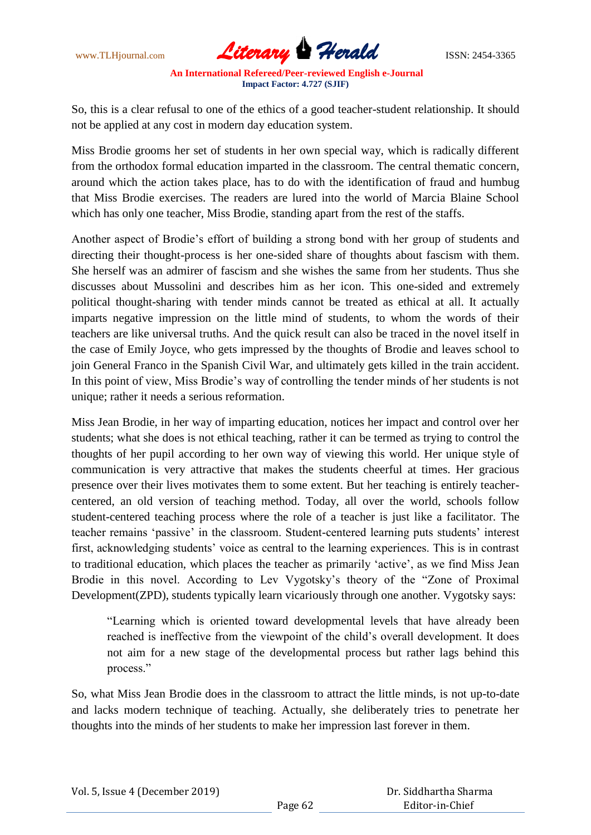www.TLHjournal.com **Literary Herald ISSN: 2454-3365** 

So, this is a clear refusal to one of the ethics of a good teacher-student relationship. It should not be applied at any cost in modern day education system.

Miss Brodie grooms her set of students in her own special way, which is radically different from the orthodox formal education imparted in the classroom. The central thematic concern, around which the action takes place, has to do with the identification of fraud and humbug that Miss Brodie exercises. The readers are lured into the world of Marcia Blaine School which has only one teacher, Miss Brodie, standing apart from the rest of the staffs.

Another aspect of Brodie"s effort of building a strong bond with her group of students and directing their thought-process is her one-sided share of thoughts about fascism with them. She herself was an admirer of fascism and she wishes the same from her students. Thus she discusses about Mussolini and describes him as her icon. This one-sided and extremely political thought-sharing with tender minds cannot be treated as ethical at all. It actually imparts negative impression on the little mind of students, to whom the words of their teachers are like universal truths. And the quick result can also be traced in the novel itself in the case of Emily Joyce, who gets impressed by the thoughts of Brodie and leaves school to join General Franco in the Spanish Civil War, and ultimately gets killed in the train accident. In this point of view, Miss Brodie"s way of controlling the tender minds of her students is not unique; rather it needs a serious reformation.

Miss Jean Brodie, in her way of imparting education, notices her impact and control over her students; what she does is not ethical teaching, rather it can be termed as trying to control the thoughts of her pupil according to her own way of viewing this world. Her unique style of communication is very attractive that makes the students cheerful at times. Her gracious presence over their lives motivates them to some extent. But her teaching is entirely teachercentered, an old version of teaching method. Today, all over the world, schools follow student-centered teaching process where the role of a teacher is just like a facilitator. The teacher remains "passive" in the classroom. Student-centered learning puts students" interest first, acknowledging students" voice as central to the learning experiences. This is in contrast to traditional education, which places the teacher as primarily "active", as we find Miss Jean Brodie in this novel. According to Lev Vygotsky's theory of the "Zone of Proximal" Development(ZPD), students typically learn vicariously through one another. Vygotsky says:

"Learning which is oriented toward developmental levels that have already been reached is ineffective from the viewpoint of the child"s overall development. It does not aim for a new stage of the developmental process but rather lags behind this process."

So, what Miss Jean Brodie does in the classroom to attract the little minds, is not up-to-date and lacks modern technique of teaching. Actually, she deliberately tries to penetrate her thoughts into the minds of her students to make her impression last forever in them.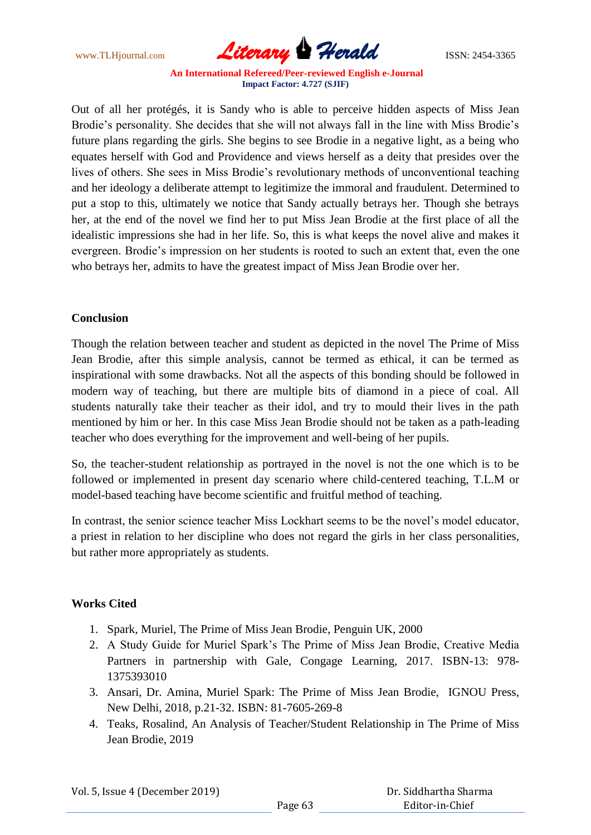www.TLHjournal.com **Literary Herald** ISSN: 2454-3365

Out of all her protégés, it is Sandy who is able to perceive hidden aspects of Miss Jean Brodie's personality. She decides that she will not always fall in the line with Miss Brodie's future plans regarding the girls. She begins to see Brodie in a negative light, as a being who equates herself with God and Providence and views herself as a deity that presides over the lives of others. She sees in Miss Brodie"s revolutionary methods of unconventional teaching and her ideology a deliberate attempt to legitimize the immoral and fraudulent. Determined to put a stop to this, ultimately we notice that Sandy actually betrays her. Though she betrays her, at the end of the novel we find her to put Miss Jean Brodie at the first place of all the idealistic impressions she had in her life. So, this is what keeps the novel alive and makes it evergreen. Brodie"s impression on her students is rooted to such an extent that, even the one who betrays her, admits to have the greatest impact of Miss Jean Brodie over her.

### **Conclusion**

Though the relation between teacher and student as depicted in the novel The Prime of Miss Jean Brodie, after this simple analysis, cannot be termed as ethical, it can be termed as inspirational with some drawbacks. Not all the aspects of this bonding should be followed in modern way of teaching, but there are multiple bits of diamond in a piece of coal. All students naturally take their teacher as their idol, and try to mould their lives in the path mentioned by him or her. In this case Miss Jean Brodie should not be taken as a path-leading teacher who does everything for the improvement and well-being of her pupils.

So, the teacher-student relationship as portrayed in the novel is not the one which is to be followed or implemented in present day scenario where child-centered teaching, T.L.M or model-based teaching have become scientific and fruitful method of teaching.

In contrast, the senior science teacher Miss Lockhart seems to be the novel"s model educator, a priest in relation to her discipline who does not regard the girls in her class personalities, but rather more appropriately as students.

## **Works Cited**

- 1. Spark, Muriel, The Prime of Miss Jean Brodie, Penguin UK, 2000
- 2. A Study Guide for Muriel Spark"s The Prime of Miss Jean Brodie, Creative Media Partners in partnership with Gale, Congage Learning, 2017. ISBN-13: 978- 1375393010
- 3. Ansari, Dr. Amina, Muriel Spark: The Prime of Miss Jean Brodie, IGNOU Press, New Delhi, 2018, p.21-32. ISBN: 81-7605-269-8
- 4. Teaks, Rosalind, An Analysis of Teacher/Student Relationship in The Prime of Miss Jean Brodie, 2019